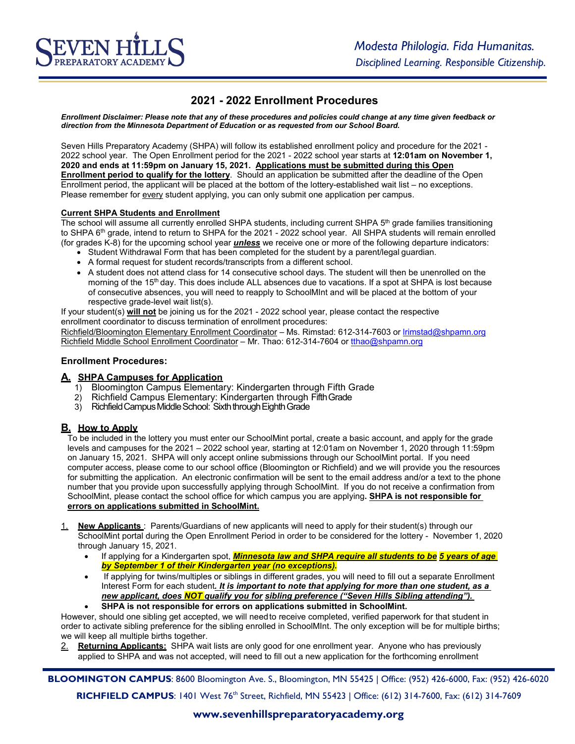# **2021 - 2022 Enrollment Procedures**

*Enrollment Disclaimer: Please note that any of these procedures and policies could change at any time given feedback or direction from the Minnesota Department of Education or as requested from our School Board.*

Seven Hills Preparatory Academy (SHPA) will follow its established enrollment policy and procedure for the 2021 - 2022 school year. The Open Enrollment period for the 2021 - 2022 school year starts at **12:01am on November 1, 2020 and ends at 11:59pm on January 15, 2021. Applications must be submitted during this Open Enrollment period to qualify for the lottery**. Should an application be submitted after the deadline of the Open Enrollment period, the applicant will be placed at the bottom of the lottery-established wait list – no exceptions. Please remember for every student applying, you can only submit one application per campus.

#### **Current SHPA Students and Enrollment**

The school will assume all currently enrolled SHPA students, including current SHPA 5<sup>th</sup> grade families transitioning to SHPA 6<sup>th</sup> grade, intend to return to SHPA for the 2021 - 2022 school year. All SHPA students will remain enrolled (for grades K-8) for the upcoming school year *unless* we receive one or more of the following departure indicators:

- Student Withdrawal Form that has been completed for the student by a parent/legal guardian.
- A formal request for student records/transcripts from a different school.
- A student does not attend class for 14 consecutive school days. The student will then be unenrolled on the morning of the 15<sup>th</sup> day. This does include ALL absences due to vacations. If a spot at SHPA is lost because of consecutive absences, you will need to reapply to SchoolMInt and will be placed at the bottom of your respective grade-level wait list(s).

If your student(s) **will not** be joining us for the 2021 - 2022 school year, please contact the respective enrollment coordinator to discuss termination of enrollment procedures:

Richfield/Bloomington Elementary Enrollment Coordinator - Ms. Rimstad: 612-314-7603 or lrimstad@shpamn.org Richfield Middle School Enrollment Coordinator – Mr. Thao: 612-314-7604 or tthao@shpamn.org

#### **Enrollment Procedures:**

#### **A. SHPA Campuses for Application**

- 1) Bloomington Campus Elementary: Kindergarten through Fifth Grade
- 2) Richfield Campus Elementary: Kindergarten through FifthGrade
- 3) Richfield Campus Middle School: Sixth through Eighth Grade

## **B. How to Apply**

To be included in the lottery you must enter our SchoolMint portal, create a basic account, and apply for the grade levels and campuses for the 2021 – 2022 school year*,* starting at 12:01am on November 1, 2020 through 11:59pm on January 15, 2021. SHPA will only accept online submissions through our SchoolMint portal. If you need computer access, please come to our school office (Bloomington or Richfield) and we will provide you the resources for submitting the application. An electronic confirmation will be sent to the email address and/or a text to the phone number that you provide upon successfully applying through SchoolMint. If you do not receive a confirmation from SchoolMint, please contact the school office for which campus you are applying**. SHPA is not responsible for errors on applications submitted in SchoolMint.**

- 1. **New Applicants** : Parents/Guardians of new applicants will need to apply for their student(s) through our SchoolMint portal during the Open Enrollment Period in order to be considered for the lottery - November 1, 2020 through January 15, 2021.
	- If applying for a Kindergarten spot, *Minnesota law and SHPA require all students to be 5 years of age by September 1 of their Kindergarten year (no exceptions).*
	- If applying for twins/multiples or siblings in different grades, you will need to fill out a separate Enrollment Interest Form for each student*. It is important to note that applying for more than one student, as a new applicant, does NOT qualify you for sibling preference ("Seven Hills Sibling attending").*  • **SHPA is not responsible for errors on applications submitted in SchoolMint.**
- However, should one sibling get accepted, we will needto receive completed, verified paperwork for that student in

order to activate sibling preference for the sibling enrolled in SchoolMInt. The only exception will be for multiple births; we will keep all multiple births together.

2. **Returning Applicants:** SHPA wait lists are only good for one enrollment year. Anyone who has previously applied to SHPA and was not accepted, will need to fill out a new application for the forthcoming enrollment

**BLOOMINGTON CAMPUS**: 8600 Bloomington Ave. S., Bloomington, MN 55425 | Office: (952) 426-6000, Fax: (952) 426-6020 **RICHFIELD CAMPUS**: 1401 West 76<sup>th</sup> Street, Richfield, MN 55423 | Office: (612) 314-7600, Fax: (612) 314-7609